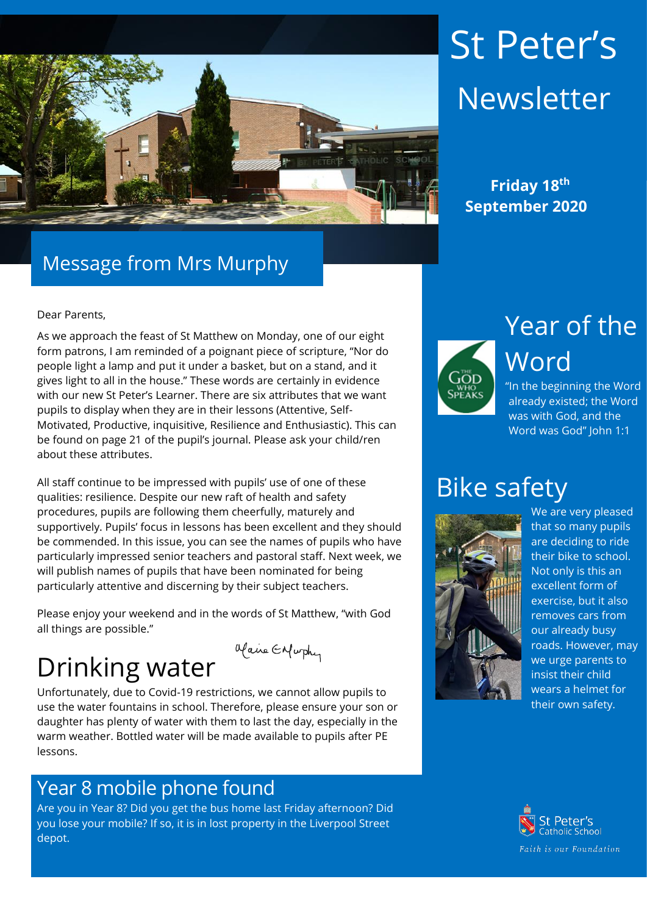

# St Peter's **Newsletter**

 **September 2020**

### Message from Mrs Murphy

Dear Parents,

As we approach the feast of St Matthew on Monday, one of our eight form patrons, I am reminded of a poignant piece of scripture, "Nor do people light a lamp and put it under a basket, but on a stand, and it gives light to all in the house." These words are certainly in evidence with our new St Peter's Learner. There are six attributes that we want pupils to display when they are in their lessons (Attentive, Self-Motivated, Productive, inquisitive, Resilience and Enthusiastic). This can be found on page 21 of the pupil's journal. Please ask your child/ren about these attributes.

All staff continue to be impressed with pupils' use of one of these qualities: resilience. Despite our new raft of health and safety procedures, pupils are following them cheerfully, maturely and supportively. Pupils' focus in lessons has been excellent and they should be commended. In this issue, you can see the names of pupils who have particularly impressed senior teachers and pastoral staff. Next week, we will publish names of pupils that have been nominated for being particularly attentive and discerning by their subject teachers.

Please enjoy your weekend and in the words of St Matthew, "with God all things are possible."

Maine Enfurthy

## Drinking water

Unfortunately, due to Covid-19 restrictions, we cannot allow pupils to use the water fountains in school. Therefore, please ensure your son or daughter has plenty of water with them to last the day, especially in the warm weather. Bottled water will be made available to pupils after PE lessons.

#### Year 8 mobile phone found

Are you in Year 8? Did you get the bus home last Friday afternoon? Did you lose your mobile? If so, it is in lost property in the Liverpool Street depot.



Year of the Word

"In the beginning the Word already existed; the Word was with God, and the Word was God" John 1:1

### Bike safety



We are very pleased that so many pupils are deciding to ride their bike to school. Not only is this an excellent form of exercise, but it also removes cars from our already busy roads. However, may we urge parents to insist their child wears a helmet for their own safety.

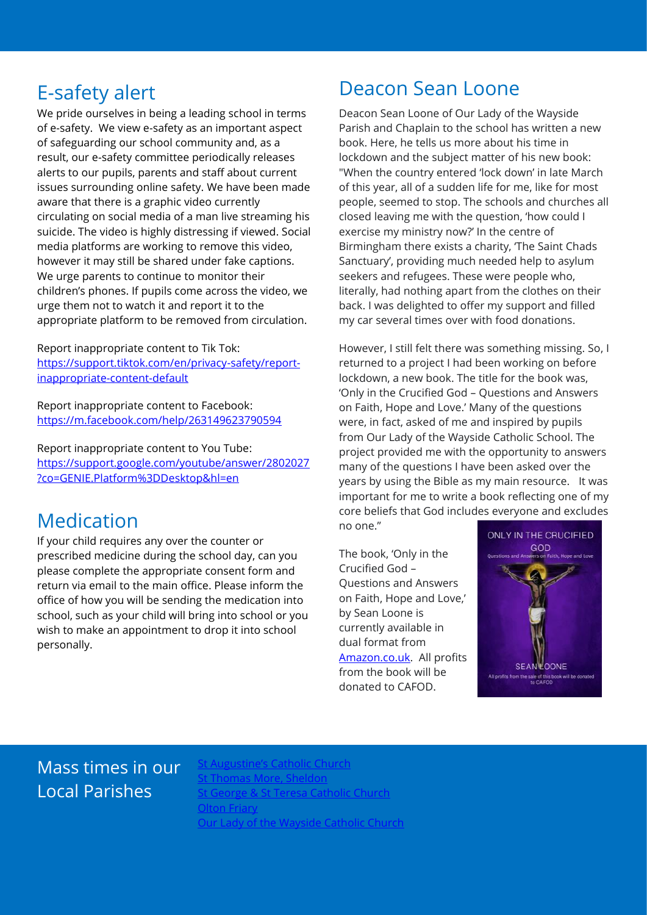We pride ourselves in being a leading school in terms of e-safety. We view e-safety as an important aspect of safeguarding our school community and, as a result, our e-safety committee periodically releases alerts to our pupils, parents and staff about current issues surrounding online safety. We have been made aware that there is a graphic video currently circulating on social media of a man live streaming his suicide. The video is highly distressing if viewed. Social media platforms are working to remove this video, however it may still be shared under fake captions. We urge parents to continue to monitor their children's phones. If pupils come across the video, we urge them not to watch it and report it to the appropriate platform to be removed from circulation.

Report inappropriate content to Tik Tok: [https://support.tiktok.com/en/privacy-safety/report](https://support.tiktok.com/en/privacy-safety/report-inappropriate-content-default)[inappropriate-content-default](https://support.tiktok.com/en/privacy-safety/report-inappropriate-content-default)

Report inappropriate content to Facebook: <https://m.facebook.com/help/263149623790594>

Report inappropriate content to You Tube: [https://support.google.com/youtube/answer/2802027](https://support.google.com/youtube/answer/2802027?co=GENIE.Platform%3DDesktop&hl=en) [?co=GENIE.Platform%3DDesktop&hl=en](https://support.google.com/youtube/answer/2802027?co=GENIE.Platform%3DDesktop&hl=en)

#### Medication

If your child requires any over the counter or prescribed medicine during the school day, can you please complete the appropriate consent form and return via email to the main office. Please inform the office of how you will be sending the medication into school, such as your child will bring into school or you wish to make an appointment to drop it into school personally.

### E-safety alert **Deacon Sean Loone**

Deacon Sean Loone of Our Lady of the Wayside Parish and Chaplain to the school has written a new book. Here, he tells us more about his time in lockdown and the subject matter of his new book: "When the country entered 'lock down' in late March of this year, all of a sudden life for me, like for most people, seemed to stop. The schools and churches all closed leaving me with the question, 'how could I exercise my ministry now?' In the centre of Birmingham there exists a charity, 'The Saint Chads Sanctuary', providing much needed help to asylum seekers and refugees. These were people who, literally, had nothing apart from the clothes on their back. I was delighted to offer my support and filled my car several times over with food donations.

However, I still felt there was something missing. So, I returned to a project I had been working on before lockdown, a new book. The title for the book was, 'Only in the Crucified God – Questions and Answers on Faith, Hope and Love.' Many of the questions were, in fact, asked of me and inspired by pupils from Our Lady of the Wayside Catholic School. The project provided me with the opportunity to answers many of the questions I have been asked over the years by using the Bible as my main resource. It was important for me to write a book reflecting one of my core beliefs that God includes everyone and excludes no one."

The book, 'Only in the Crucified God – Questions and Answers on Faith, Hope and Love,' by Sean Loone is currently available in dual format from [Amazon.co.uk.](https://protect-eu.mimecast.com/s/YIIlCrmq2Fr78pH7kx2N?domain=amazon.co.uk) All profits from the book will be donated to CAFOD.



#### Mass times in our Local Parishes

[St Augustine's Catholic Church](https://www.staugustinesolihull.org.uk/welcome/mass-book-your-place/) [St Thomas More, Sheldon](https://www.stthomasmorercchurch.com/) [St George & St Teresa Catholic Church](https://www.catholicchurch.dorridge.uk/) [Olton Friary](https://www.oltonfriary.org.uk/) [Our Lady of the Wayside Catholic Church](http://ourladyofthewaysidechurchshirley.co.uk/)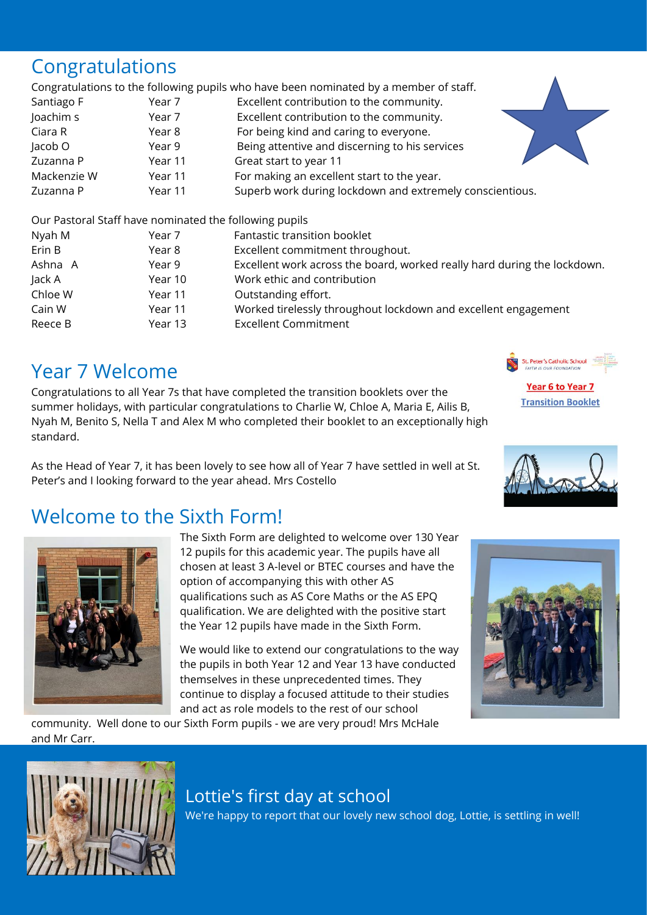#### Congratulations

Congratulations to the following pupils who have been nominated by a member of staff.

Santiago F Year 7 Excellent contribution to the community. Joachim s Year 7 Excellent contribution to the community. Ciara R Year 8 For being kind and caring to everyone. Jacob O Year 9 Being attentive and discerning to his services Zuzanna P Year 11 Great start to year 11 Mackenzie W Year 11 For making an excellent start to the year. Zuzanna P Year 11 Superb work during lockdown and extremely conscientious.

Our Pastoral Staff have nominated the following pupils

| Nyah M  | Year 7  | Fantastic transition booklet                                             |
|---------|---------|--------------------------------------------------------------------------|
| Erin B  | Year 8  | Excellent commitment throughout.                                         |
| Ashna A | Year 9  | Excellent work across the board, worked really hard during the lockdown. |
| Jack A  | Year 10 | Work ethic and contribution                                              |
| Chloe W | Year 11 | Outstanding effort.                                                      |
| Cain W  | Year 11 | Worked tirelessly throughout lockdown and excellent engagement           |
| Reece B | Year 13 | <b>Excellent Commitment</b>                                              |

### Year 7 Welcome

Congratulations to all Year 7s that have completed the transition booklets over the summer holidays, with particular congratulations to Charlie W, Chloe A, Maria E, Ailis B, Nyah M, Benito S, Nella T and Alex M who completed their booklet to an exceptionally high standard.

As the Head of Year 7, it has been lovely to see how all of Year 7 have settled in well at St. Peter's and I looking forward to the year ahead. Mrs Costello

### Welcome to the Sixth Form!



The Sixth Form are delighted to welcome over 130 Year 12 pupils for this academic year. The pupils have all chosen at least 3 A-level or BTEC courses and have the option of accompanying this with other AS qualifications such as AS Core Maths or the AS EPQ qualification. We are delighted with the positive start the Year 12 pupils have made in the Sixth Form.

We would like to extend our congratulations to the way the pupils in both Year 12 and Year 13 have conducted themselves in these unprecedented times. They continue to display a focused attitude to their studies and act as role models to the rest of our school



community. Well done to our Sixth Form pupils - we are very proud! Mrs McHale and Mr Carr.



#### Lottie's first day at school

We're happy to report that our lovely new school dog, Lottie, is settling in well!



St. Peter's Catholic School Year 6 to Year 7

**Transition Booklet** 

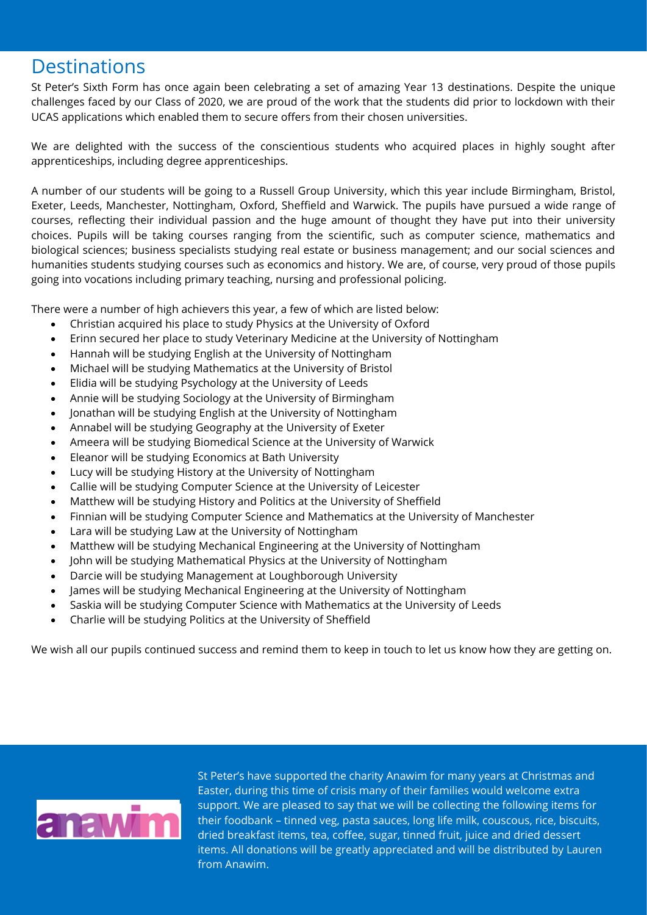#### **Destinations**

St Peter's Sixth Form has once again been celebrating a set of amazing Year 13 destinations. Despite the unique challenges faced by our Class of 2020, we are proud of the work that the students did prior to lockdown with their UCAS applications which enabled them to secure offers from their chosen universities.

We are delighted with the success of the conscientious students who acquired places in highly sought after apprenticeships, including degree apprenticeships.

A number of our students will be going to a Russell Group University, which this year include Birmingham, Bristol, Exeter, Leeds, Manchester, Nottingham, Oxford, Sheffield and Warwick. The pupils have pursued a wide range of courses, reflecting their individual passion and the huge amount of thought they have put into their university choices. Pupils will be taking courses ranging from the scientific, such as computer science, mathematics and biological sciences; business specialists studying real estate or business management; and our social sciences and humanities students studying courses such as economics and history. We are, of course, very proud of those pupils going into vocations including primary teaching, nursing and professional policing.

There were a number of high achievers this year, a few of which are listed below:

- Christian acquired his place to study Physics at the University of Oxford
- Erinn secured her place to study Veterinary Medicine at the University of Nottingham
- Hannah will be studying English at the University of Nottingham
- Michael will be studying Mathematics at the University of Bristol
- Elidia will be studying Psychology at the University of Leeds
- Annie will be studying Sociology at the University of Birmingham
- Jonathan will be studying English at the University of Nottingham
- Annabel will be studying Geography at the University of Exeter
- Ameera will be studying Biomedical Science at the University of Warwick
- Eleanor will be studying Economics at Bath University
- Lucy will be studying History at the University of Nottingham
- Callie will be studying Computer Science at the University of Leicester
- Matthew will be studying History and Politics at the University of Sheffield
- Finnian will be studying Computer Science and Mathematics at the University of Manchester
- Lara will be studying Law at the University of Nottingham
- Matthew will be studying Mechanical Engineering at the University of Nottingham
- John will be studying Mathematical Physics at the University of Nottingham
- Darcie will be studying Management at Loughborough University
- James will be studying Mechanical Engineering at the University of Nottingham
- Saskia will be studying Computer Science with Mathematics at the University of Leeds
- Charlie will be studying Politics at the University of Sheffield

We wish all our pupils continued success and remind them to keep in touch to let us know how they are getting on.



St Peter's have supported the charity Anawim for many years at Christmas and Easter, during this time of crisis many of their families would welcome extra support. We are pleased to say that we will be collecting the following items for their foodbank – tinned veg, pasta sauces, long life milk, couscous, rice, biscuits, dried breakfast items, tea, coffee, sugar, tinned fruit, juice and dried dessert items. All donations will be greatly appreciated and will be distributed by Lauren from Anawim.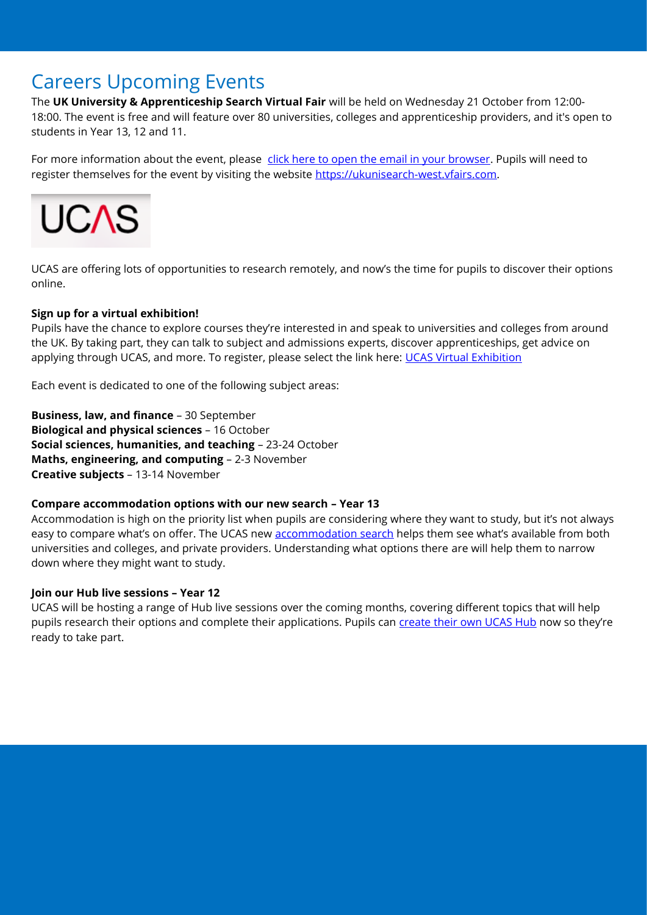#### Careers Upcoming Events

The **UK University & Apprenticeship Search Virtual Fair** will be held on Wednesday 21 October from 12:00- 18:00. The event is free and will feature over 80 universities, colleges and apprenticeship providers, and it's open to students in Year 13, 12 and 11.

For more information about the event, please [click here to open the email in your browser.](https://protect-eu.mimecast.com/s/mkv5C27q8tVW5JcnHnuS?domain=us4.campaign-archive.com) Pupils will need to register themselves for the event by visiting the website [https://ukunisearch-west.vfairs.com.](https://protect-eu.mimecast.com/s/MdbVC3yr6uXoDJfqh-Z1?domain=ukunisearch-west.vfairs.com)



UCAS are offering lots of opportunities to research remotely, and now's the time for pupils to discover their options online.

#### **Sign up for a virtual exhibition!**

Pupils have the chance to explore courses they're interested in and speak to universities and colleges from around the UK. By taking part, they can talk to subject and admissions experts, discover apprenticeships, get advice on applying through UCAS, and more. To register, please select the link here: [UCAS Virtual Exhibition](https://www.ucas.com/ucas/events/find/scheme/virtual-and-digital/type/exhibition?sort_by=search_api_aggregation_1)

Each event is dedicated to one of the following subject areas:

**Business, law, and finance** – 30 September **Biological and physical sciences** – 16 October **Social sciences, humanities, and teaching** – 23-24 October **Maths, engineering, and computing** – 2-3 November **Creative subjects** – 13-14 November

#### **Compare accommodation options with our new search – Year 13**

Accommodation is high on the priority list when pupils are considering where they want to study, but it's not always easy to compare what's on offer. The UCAS new [accommodation search](https://protect-eu.mimecast.com/s/UGEkCgnDptqwVru70LCP?domain=click.email.ucas.com) helps them see what's available from both universities and colleges, and private providers. Understanding what options there are will help them to narrow down where they might want to study.

#### **Join our Hub live sessions – Year 12**

UCAS will be hosting a range of Hub live sessions over the coming months, covering different topics that will help pupils research their options and complete their applications. Pupils can [create their own UCAS Hub](https://protect-eu.mimecast.com/s/KvzlCj0gYHYGp2FjqsmF?domain=click.email.ucas.com) now so they're ready to take part.